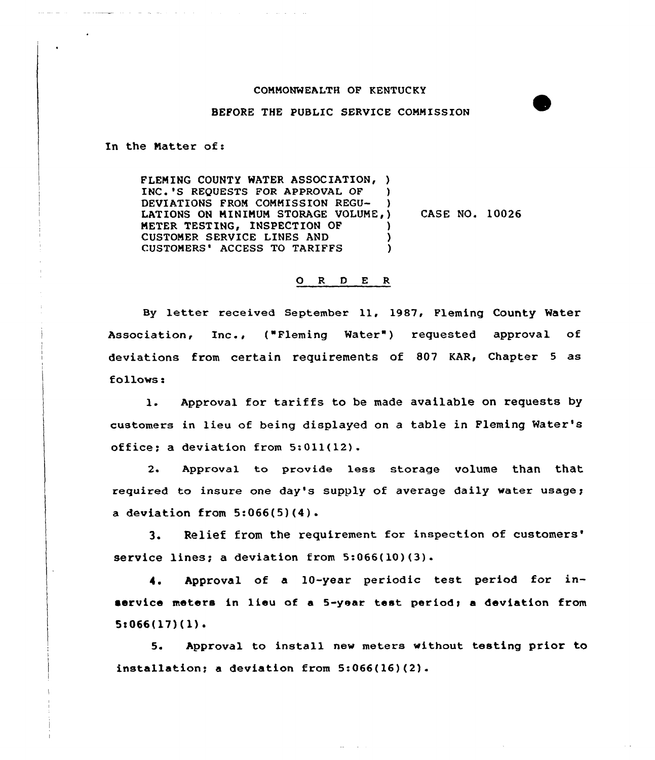## COMMONWEALTH OF KENTUCKY

## BEFORE THE PUBLIC SERVICE COMMISSION

In the Matter of:

FLEMING COUNTY MATER ASSOCIATION, ) INC.'S REQUESTS FOR APPROVAL OF ) DEVIATIONS FROM COMMISSION REGU- ) LATIONS ON MINIMUM STORAGE VOLUME, ) METER TESTING, INSPECTION OF CUSTOMER SERVICE LINES AND (USTOMERS' ACCESS TO TARIFFS ) CUSTOMERS' ACCESS TO TARIFFS CASE NO. 10026

## 0 <sup>R</sup> <sup>D</sup> <sup>E</sup> <sup>R</sup>

By letter received September 11, 1987, Fleming County Water Association, Inc., ("Fleming Water") requested approval of deviations from certain requirements of 807 KAR, Chapter <sup>5</sup> as follows:

l. Approval for tariffs to be made available on requests by customers in lieu of being displayed on a table in Fleming Water' office; a deviation from 5:011(12).

2. Approval to provide less storage volume than that required to insure one day's supply of average daily water usage; a deviation from  $5:066(5)(4)$ .

3. Relief from the requirement for inspection of customers' service lines; a deviation from  $5:066(10)(3)$ .

Approval of a 10-year periodic test period for in-4. service meters in lieu of a 5-year test period; a deviation from  $5:066(17)(1)$ .

5. Approval to install new meters without testing prior to installation; a deviation from 5:066(16)(2).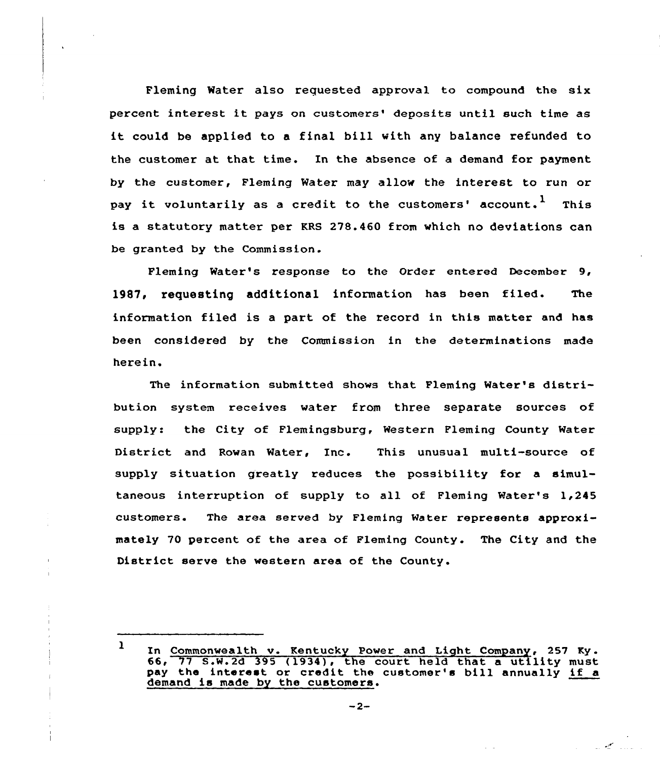Fleming Water also requested approval to compound the six percent interest it pays on customers' deposits until such time as it could be applied to a final bill with any balance refunded to the customer at that time. In the absence of a demand for payment by the customer, Fleming Water may allow the interest to run or pay it voluntarily as a credit to the customers' account.<sup>1</sup> This is a statutory matter per KRS 278.460 from which no deviations can be granted by the Commission.

Fleming Water's response to the Order entered December 9, 1987, requesting additional information has been filed. The information filed is a part of the record in this matter and has been considered by the Commission in the determinations made herein.

The information submitted shows that Fleming Water's distribution system receives water from three separate sources of supply: the City of Flemingsburg, Western Fleming County Water District and Rowan Water, Inc. This unusual multi-source of supply situation greatly reduces the possibility for a simultaneous interruption of supply to all of Fleming Water's 1,245 customers. The area served by Fleming Water represents approrimately 70 percent of the area of Fleming County. The City and the District serve the western area of the County.

 $-2-$ 

 $\mathbb{R}^n$ 

<sup>1</sup> In Commonwealth v. Kentucky Power and Light Company, 257 Ky.  $66, 77$  S.W.2d  $395$  (1934), the court held that a utility must pay the interest or credit the customer's bill annually if <sup>a</sup> demand is made by the customers.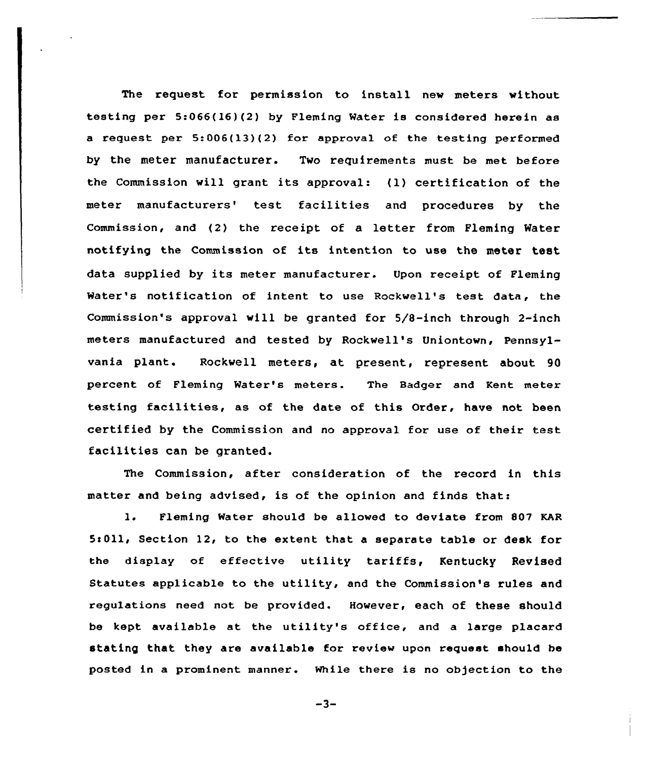The request for permission to install new meters without testing per 5:066(16}(2) by Fleming Water is considered herein as a request per 5:006(13)(2) for approval of the testing performed by the meter manufacturer. Two requirements must be met before the Commission will grant its approval: (1} certification of the meter manufacturers' test facilities and procedures by the Commission, and (2) the receipt of a letter from Fleming Water notifying the Commission of its intention to use the meter test data supplied by its meter manufacturer. Upon receipt of Fleming Water's notification of intent to use Rockwell's test data, the Commission's approval will be granted for 5/S-inch through 2-inch meters manufactured and tested by Rockwell's Uniontown, Pennsylvania plant. Rockwell meters, at present, represent about 90 percent of Fleming Water's meters. The Badger and Kent meter testing facilities, as of the date of this Order, have not been certified by the Commission and no approval for use of their test facilities can be granted.

The Commission, after consideration of the record in this matter and being advised, is of the opinion and finds that:

1. Fleming Water should be allowed to deviate from 807 KAR 5:011, Section 12, to the extent that a separate table or desk for the display of effective utility tariffs, Kentucky Revised Statutes applicable to the utility, and the Commission's rules and regulations need not be provided. However, each of these should be kept available at the utility's office, and <sup>a</sup> large placaxd stating that they are available for review upon request should be posted in a prominent manner. While there is no objection to the

 $-3-$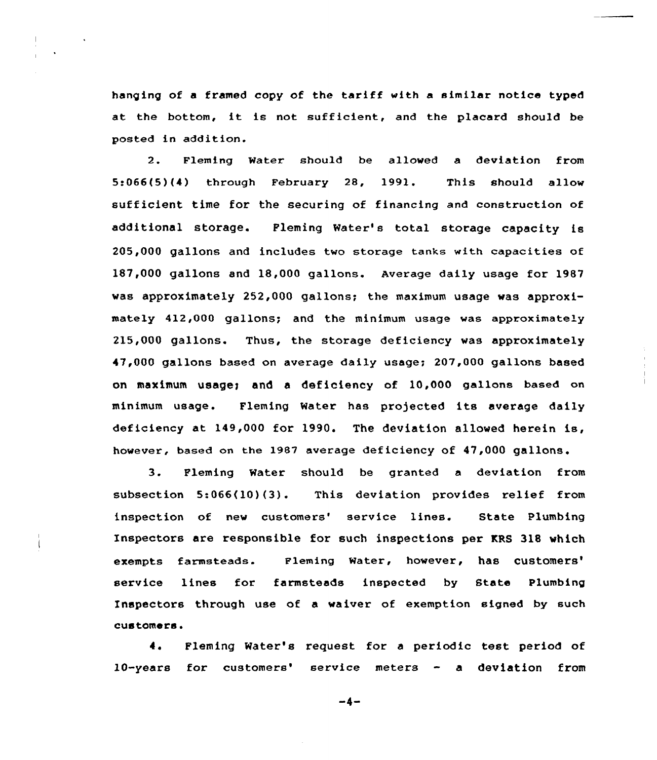hanging of <sup>a</sup> framed copy of the tariff with a similar notice typed at the bottom, it is not sufficient, and the placard should be posted in addition.

2. Fleming Water should be allowed a deviation from 5t066(5)(4) through February 28, 1991. This should allow sufficient time for the securing of financing and construction of additional storage. Fleming Water's total storage capacity is 205,000 gallons and includes two storage tanks with capacities of 187,000 gallons and 18,000 gallons. Average daily usage for 1987 was approximately 252,000 gallcns; the maximum usage was approximately 412,000 gallons; and the minimum usage was approximately 215,000 gallons. Thus, the storage deficiency was approximately 47,000 gallons based on average daily usage; 207,000 gallons based on maximum usages and a deficiency of 10,000 gallons based on minimum usage. Fleming Water has projected its average daily deficiency at 149,000 for 1990. The deviation allowed herein is, however, based on the 1987 average deficiency of 47,000 gallons.

3. Fleming Water should be granted <sup>a</sup> deviation from subsection 5:066(10)(3). This deviation provides relief from inspection of new customers' service lines. State Plumbing Inspectors are responsible for such inspections per KRS 318 which exempts farmsteads. Fleming Water, however, has customers' service lines for farmsteads inspected by State Plumbing Inspectors through use of a waiver of exemption signed by such customers.

4. Fleming Water''s request for <sup>a</sup> periodic test period of 10-years for customers' service meters - a deviation from

 $-4-$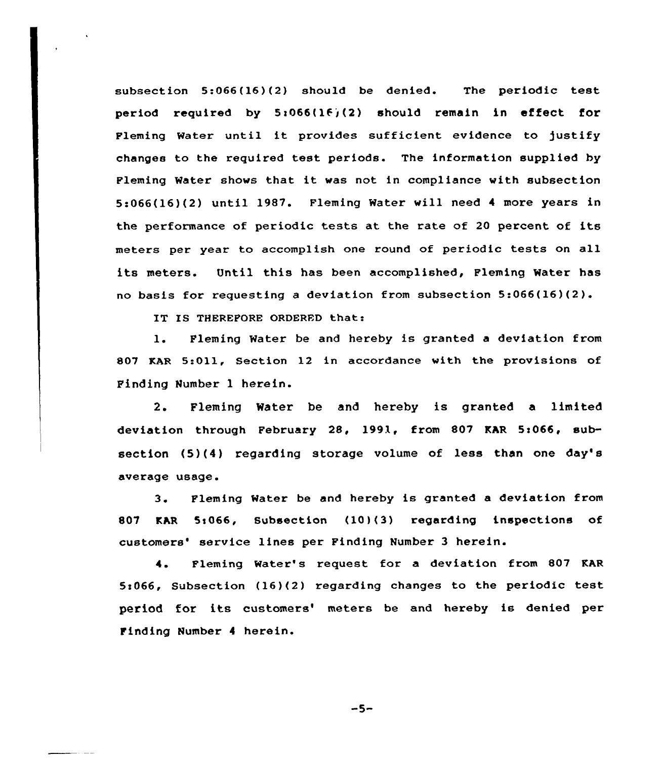subsection 5:066(16)(2) should be denied. The periodic test period required by  $5:066(16)(2)$  should remain in effect for Fleming Water until it provides sufficient evidence to justify changes to the required test periods. The information supplied by Fleming Water shows that it was not in compliance with subsection 5:066(16)(2) until 1987. Fleming Water will need <sup>4</sup> more years in the performance of periodic tests at the rate of <sup>20</sup> percent of its meters per year to accomplish one round of periodic tests on all its meters. Until this has been accomplished, Fleming Water has no basis fox xequesting <sup>a</sup> deviation from subsection 5:066(16)(2).

IT IS THEREFORE ORDERED that:

1. Fleming Water be and hereby is granted a deviation from 807 KAR 5:011, Section 12 in accordance with the provisions of Finding Number 1 herein.

2. Fleming Water be and hereby is granted a limited deviation through February 28, 1991, from 807 KAR 5:066, subsection (5)(4) regarding storage volume of less than one day's average usage.

3 <sup>~</sup> Fleming Hater be and hereby is granted a deviation from 807 KAR 5:066, Subsection (10)(3) regarding inspections of customers' service lines per Finding Number 3 herein.

4. Fleming Water's request for a deviation from 807 KAR 5c066, Subsection (16)(2) regarding changes to the periodic test period for its customers' meters be and hereby is denied per Finding Number <sup>4</sup> herein.

 $-5-$